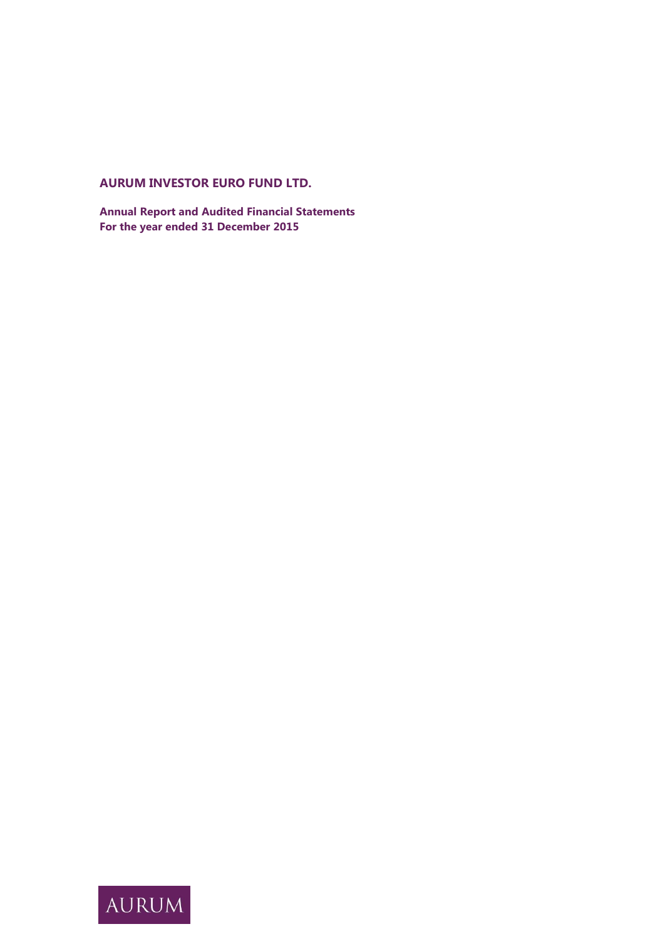# **AURUM INVESTOR EURO FUND LTD.**

**Annual Report and Audited Financial Statements For the year ended 31 December 2015**

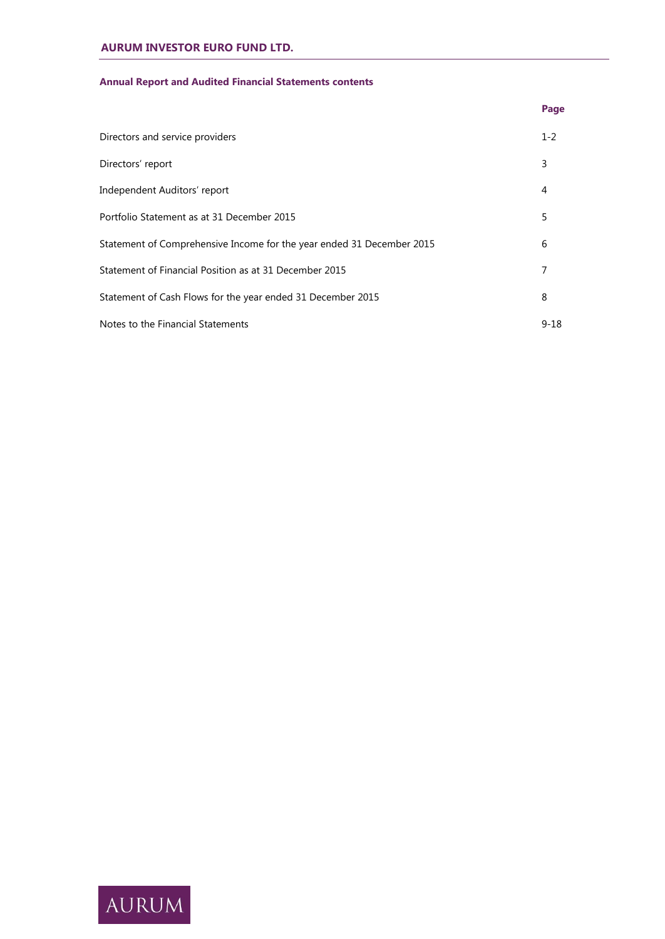# **Annual Report and Audited Financial Statements contents**

|                                                                       | Page     |
|-----------------------------------------------------------------------|----------|
| Directors and service providers                                       | $1 - 2$  |
| Directors' report                                                     | 3        |
| Independent Auditors' report                                          | 4        |
| Portfolio Statement as at 31 December 2015                            | 5        |
| Statement of Comprehensive Income for the year ended 31 December 2015 | 6        |
| Statement of Financial Position as at 31 December 2015                | 7        |
| Statement of Cash Flows for the year ended 31 December 2015           | 8        |
| Notes to the Financial Statements                                     | $9 - 18$ |

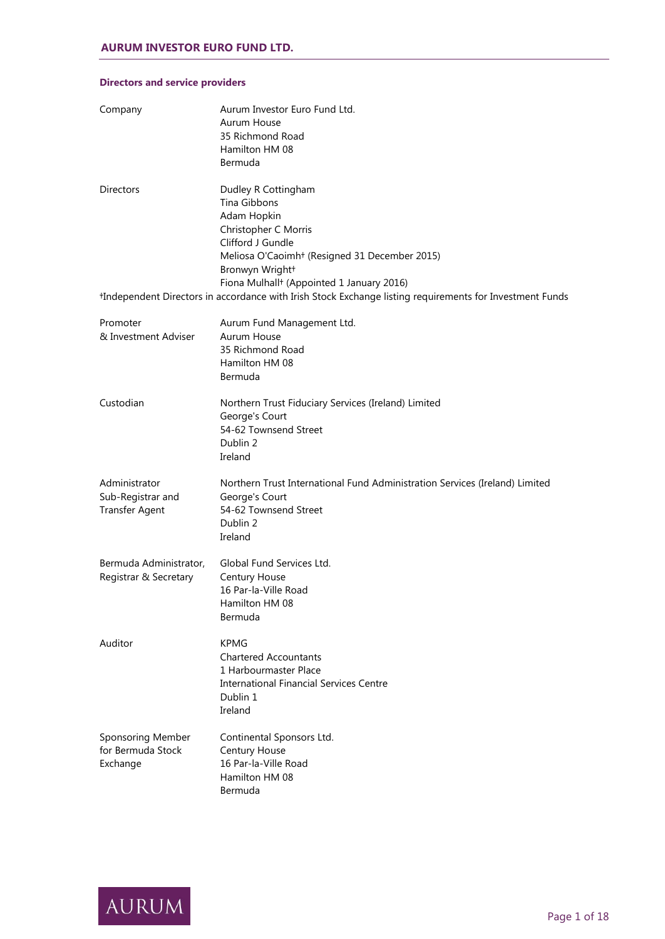| Company                                                     | Aurum Investor Euro Fund Ltd.<br>Aurum House<br>35 Richmond Road<br>Hamilton HM 08<br>Bermuda                                                                                                                                            |
|-------------------------------------------------------------|------------------------------------------------------------------------------------------------------------------------------------------------------------------------------------------------------------------------------------------|
| Directors                                                   | Dudley R Cottingham<br>Tina Gibbons<br>Adam Hopkin<br>Christopher C Morris<br>Clifford J Gundle<br>Meliosa O'Caoimh <sup>+</sup> (Resigned 31 December 2015)<br>Bronwyn Wright+<br>Fiona Mulhall <sup>+</sup> (Appointed 1 January 2016) |
|                                                             | *Independent Directors in accordance with Irish Stock Exchange listing requirements for Investment Funds                                                                                                                                 |
| Promoter<br>& Investment Adviser                            | Aurum Fund Management Ltd.<br>Aurum House<br>35 Richmond Road<br>Hamilton HM 08<br>Bermuda                                                                                                                                               |
| Custodian                                                   | Northern Trust Fiduciary Services (Ireland) Limited<br>George's Court<br>54-62 Townsend Street<br>Dublin 2<br>Ireland                                                                                                                    |
| Administrator<br>Sub-Registrar and<br><b>Transfer Agent</b> | Northern Trust International Fund Administration Services (Ireland) Limited<br>George's Court<br>54-62 Townsend Street<br>Dublin 2<br>Ireland                                                                                            |
| Bermuda Administrator,<br>Registrar & Secretary             | Global Fund Services Ltd.<br>Century House<br>16 Par-la-Ville Road<br>Hamilton HM 08<br>Bermuda                                                                                                                                          |
| Auditor                                                     | <b>KPMG</b><br><b>Chartered Accountants</b><br>1 Harbourmaster Place<br><b>International Financial Services Centre</b><br>Dublin 1<br>Ireland                                                                                            |
| Sponsoring Member<br>for Bermuda Stock<br>Exchange          | Continental Sponsors Ltd.<br>Century House<br>16 Par-la-Ville Road<br>Hamilton HM 08<br>Bermuda                                                                                                                                          |

# **Directors and service providers**

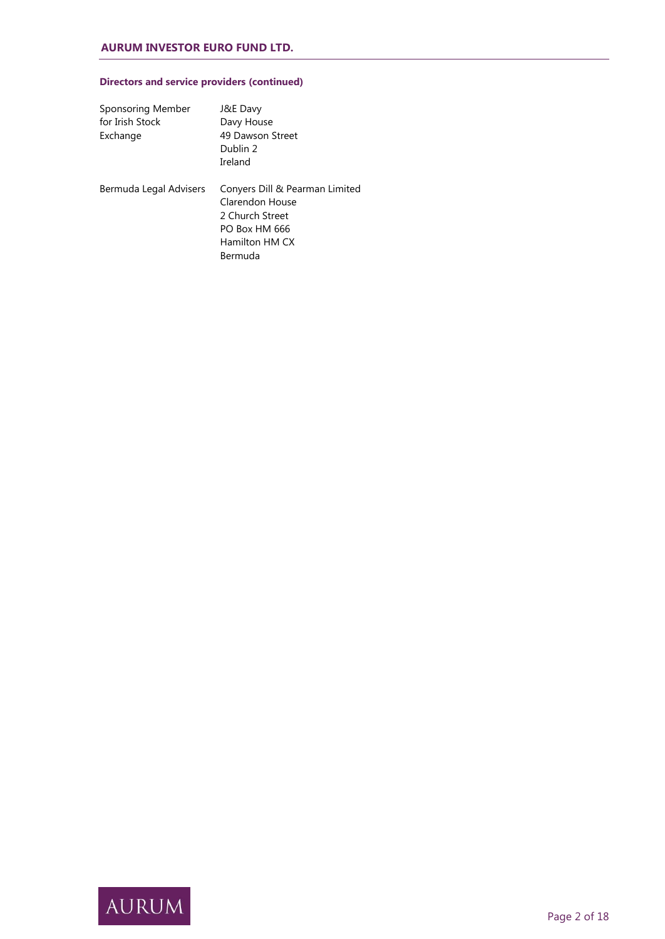# **Directors and service providers (continued)**

| Sponsoring Member<br>for Irish Stock<br>Exchange | J&E Davy<br>Davy House<br>49 Dawson Street<br>Dublin 2<br>Ireland                                                  |
|--------------------------------------------------|--------------------------------------------------------------------------------------------------------------------|
| Bermuda Legal Advisers                           | Conyers Dill & Pearman Limited<br>Clarendon House<br>2 Church Street<br>PO Box HM 666<br>Hamilton HM CX<br>Bermuda |

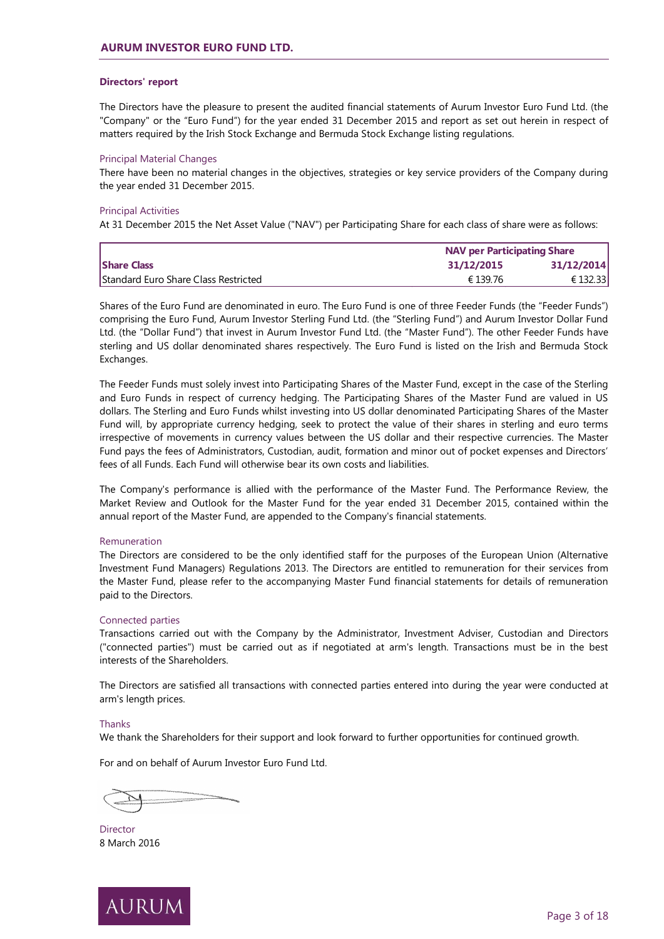## **Directors' report**

The Directors have the pleasure to present the audited financial statements of Aurum Investor Euro Fund Ltd. (the "Company" or the "Euro Fund") for the year ended 31 December 2015 and report as set out herein in respect of matters required by the Irish Stock Exchange and Bermuda Stock Exchange listing regulations.

#### Principal Material Changes

There have been no material changes in the objectives, strategies or key service providers of the Company during the year ended 31 December 2015.

#### Principal Activities

At 31 December 2015 the Net Asset Value ("NAV") per Participating Share for each class of share were as follows:

|                                      | <b>NAV per Participating Share</b> |            |  |
|--------------------------------------|------------------------------------|------------|--|
| <b>Share Class</b>                   | 31/12/2015                         | 31/12/2014 |  |
| Standard Euro Share Class Restricted | € 139.76                           | € 132.33   |  |

Shares of the Euro Fund are denominated in euro. The Euro Fund is one of three Feeder Funds (the "Feeder Funds") comprising the Euro Fund, Aurum Investor Sterling Fund Ltd. (the "Sterling Fund") and Aurum Investor Dollar Fund Ltd. (the "Dollar Fund") that invest in Aurum Investor Fund Ltd. (the "Master Fund"). The other Feeder Funds have sterling and US dollar denominated shares respectively. The Euro Fund is listed on the Irish and Bermuda Stock Exchanges.

The Feeder Funds must solely invest into Participating Shares of the Master Fund, except in the case of the Sterling and Euro Funds in respect of currency hedging. The Participating Shares of the Master Fund are valued in US dollars. The Sterling and Euro Funds whilst investing into US dollar denominated Participating Shares of the Master Fund will, by appropriate currency hedging, seek to protect the value of their shares in sterling and euro terms irrespective of movements in currency values between the US dollar and their respective currencies. The Master Fund pays the fees of Administrators, Custodian, audit, formation and minor out of pocket expenses and Directors' fees of all Funds. Each Fund will otherwise bear its own costs and liabilities.

The Company's performance is allied with the performance of the Master Fund. The Performance Review, the Market Review and Outlook for the Master Fund for the year ended 31 December 2015, contained within the annual report of the Master Fund, are appended to the Company's financial statements.

#### Remuneration

The Directors are considered to be the only identified staff for the purposes of the European Union (Alternative Investment Fund Managers) Regulations 2013. The Directors are entitled to remuneration for their services from the Master Fund, please refer to the accompanying Master Fund financial statements for details of remuneration paid to the Directors.

#### Connected parties

Transactions carried out with the Company by the Administrator, Investment Adviser, Custodian and Directors ("connected parties") must be carried out as if negotiated at arm's length. Transactions must be in the best interests of the Shareholders.

The Directors are satisfied all transactions with connected parties entered into during the year were conducted at arm's length prices.

## **Thanks**

We thank the Shareholders for their support and look forward to further opportunities for continued growth.

For and on behalf of Aurum Investor Euro Fund Ltd.

Director 8 March 2016

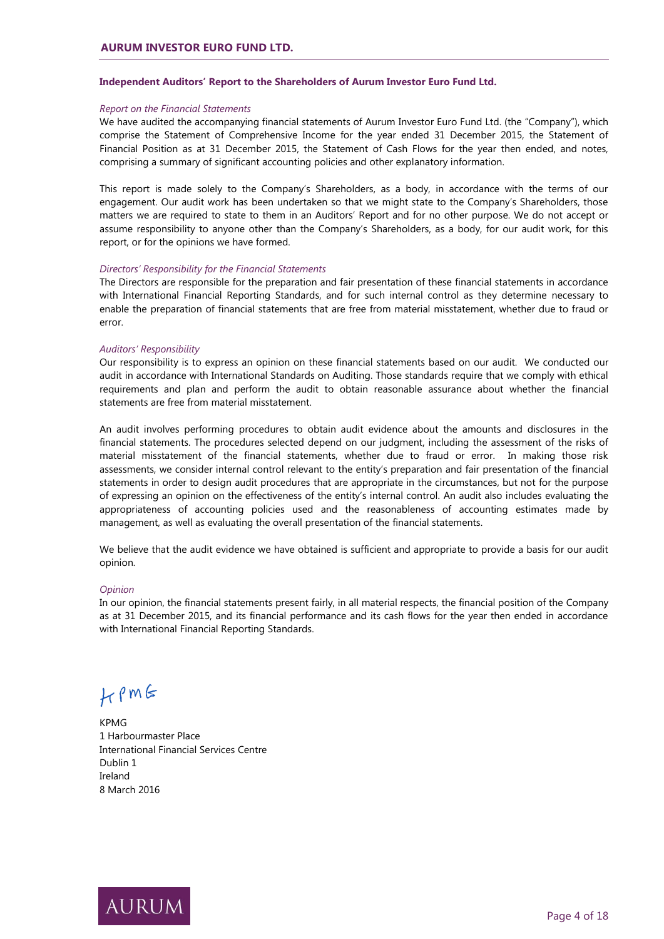# **Independent Auditors' Report to the Shareholders of Aurum Investor Euro Fund Ltd.**

# *Report on the Financial Statements*

We have audited the accompanying financial statements of Aurum Investor Euro Fund Ltd. (the "Company"), which comprise the Statement of Comprehensive Income for the year ended 31 December 2015, the Statement of Financial Position as at 31 December 2015, the Statement of Cash Flows for the year then ended, and notes, comprising a summary of significant accounting policies and other explanatory information.

This report is made solely to the Company's Shareholders, as a body, in accordance with the terms of our engagement. Our audit work has been undertaken so that we might state to the Company's Shareholders, those matters we are required to state to them in an Auditors' Report and for no other purpose. We do not accept or assume responsibility to anyone other than the Company's Shareholders, as a body, for our audit work, for this report, or for the opinions we have formed.

#### *Directors' Responsibility for the Financial Statements*

The Directors are responsible for the preparation and fair presentation of these financial statements in accordance with International Financial Reporting Standards, and for such internal control as they determine necessary to enable the preparation of financial statements that are free from material misstatement, whether due to fraud or error.

# *Auditors' Responsibility*

Our responsibility is to express an opinion on these financial statements based on our audit. We conducted our audit in accordance with International Standards on Auditing. Those standards require that we comply with ethical requirements and plan and perform the audit to obtain reasonable assurance about whether the financial statements are free from material misstatement.

An audit involves performing procedures to obtain audit evidence about the amounts and disclosures in the financial statements. The procedures selected depend on our judgment, including the assessment of the risks of material misstatement of the financial statements, whether due to fraud or error. In making those risk assessments, we consider internal control relevant to the entity's preparation and fair presentation of the financial statements in order to design audit procedures that are appropriate in the circumstances, but not for the purpose of expressing an opinion on the effectiveness of the entity's internal control. An audit also includes evaluating the appropriateness of accounting policies used and the reasonableness of accounting estimates made by management, as well as evaluating the overall presentation of the financial statements.

We believe that the audit evidence we have obtained is sufficient and appropriate to provide a basis for our audit opinion.

#### *Opinion*

In our opinion, the financial statements present fairly, in all material respects, the financial position of the Company as at 31 December 2015, and its financial performance and its cash flows for the year then ended in accordance with International Financial Reporting Standards.

# $H$   $\rho$  m  $\epsilon$

KPMG 1 Harbourmaster Place International Financial Services Centre Dublin 1 Ireland 8 March 2016

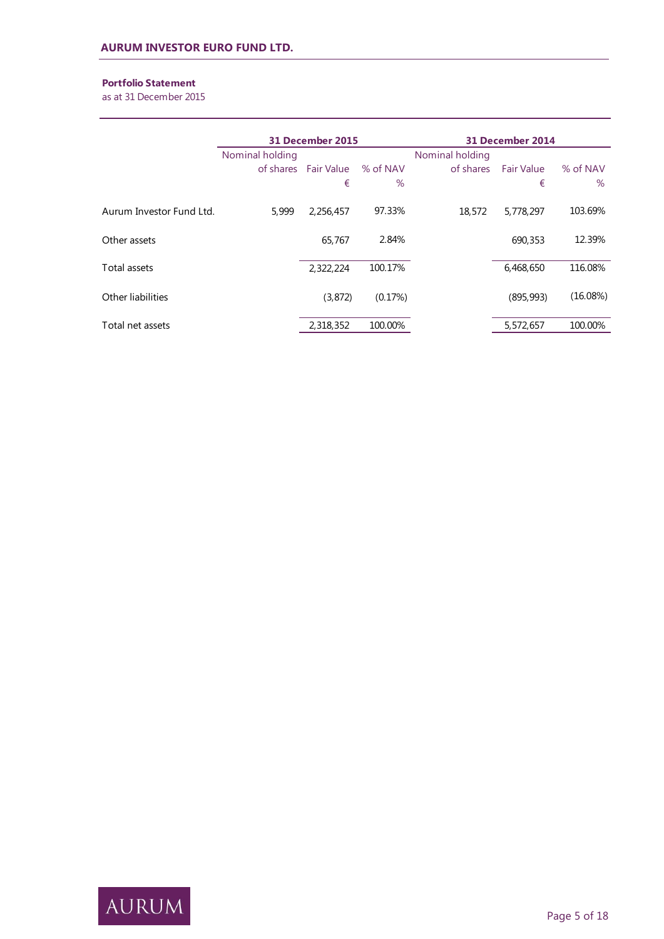# **Portfolio Statement**

as at 31 December 2015

|                          | 31 December 2015 |                      |          |                 | 31 December 2014  |          |  |
|--------------------------|------------------|----------------------|----------|-----------------|-------------------|----------|--|
|                          | Nominal holding  |                      |          | Nominal holding |                   |          |  |
|                          |                  | of shares Fair Value | % of NAV | of shares       | <b>Fair Value</b> | % of NAV |  |
|                          |                  | €                    | $\%$     |                 | €                 | $\%$     |  |
| Aurum Investor Fund Ltd. | 5,999            | 2,256,457            | 97.33%   | 18,572          | 5,778,297         | 103.69%  |  |
| Other assets             |                  | 65,767               | 2.84%    |                 | 690,353           | 12.39%   |  |
| Total assets             |                  | 2,322,224            | 100.17%  |                 | 6,468,650         | 116.08%  |  |
| Other liabilities        |                  | (3, 872)             | (0.17%)  |                 | (895, 993)        | (16.08%) |  |
| Total net assets         |                  | 2,318,352            | 100.00%  |                 | 5,572,657         | 100.00%  |  |

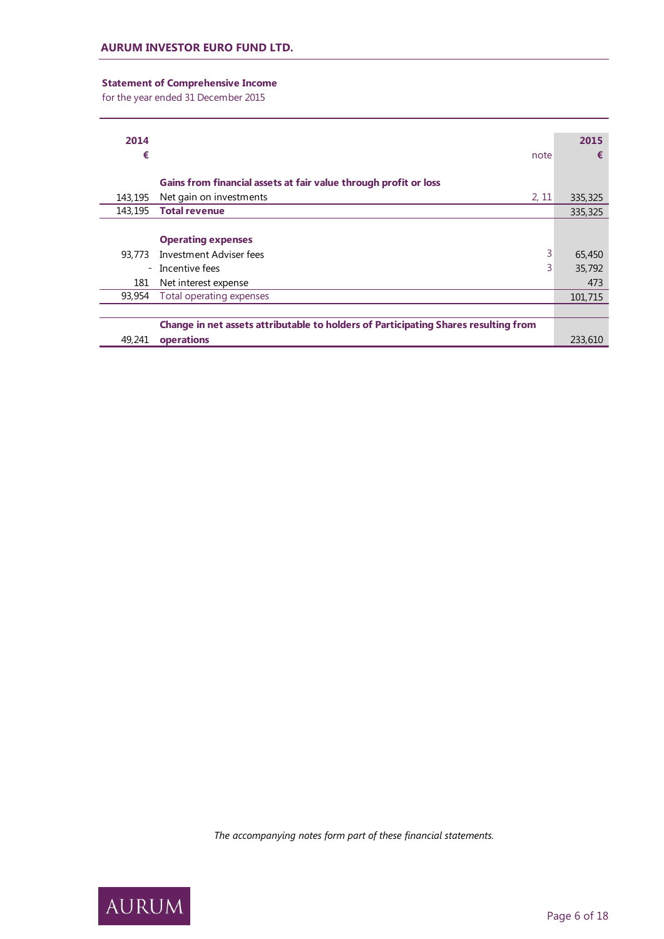# **Statement of Comprehensive Income**

for the year ended 31 December 2015

| 2014    |                                                                                     | 2015    |
|---------|-------------------------------------------------------------------------------------|---------|
| €       | note                                                                                | €       |
|         |                                                                                     |         |
|         | Gains from financial assets at fair value through profit or loss                    |         |
| 143,195 | Net gain on investments<br>2, 11                                                    | 335,325 |
| 143,195 | <b>Total revenue</b>                                                                | 335,325 |
|         |                                                                                     |         |
|         | <b>Operating expenses</b>                                                           |         |
| 93,773  | 3<br>Investment Adviser fees                                                        | 65,450  |
| $ \,$   | 3<br>Incentive fees                                                                 | 35,792  |
| 181     | Net interest expense                                                                | 473     |
| 93,954  | Total operating expenses                                                            | 101,715 |
|         |                                                                                     |         |
|         | Change in net assets attributable to holders of Participating Shares resulting from |         |
| 49,241  | operations                                                                          | 233,610 |

*The accompanying notes form part of these financial statements.*

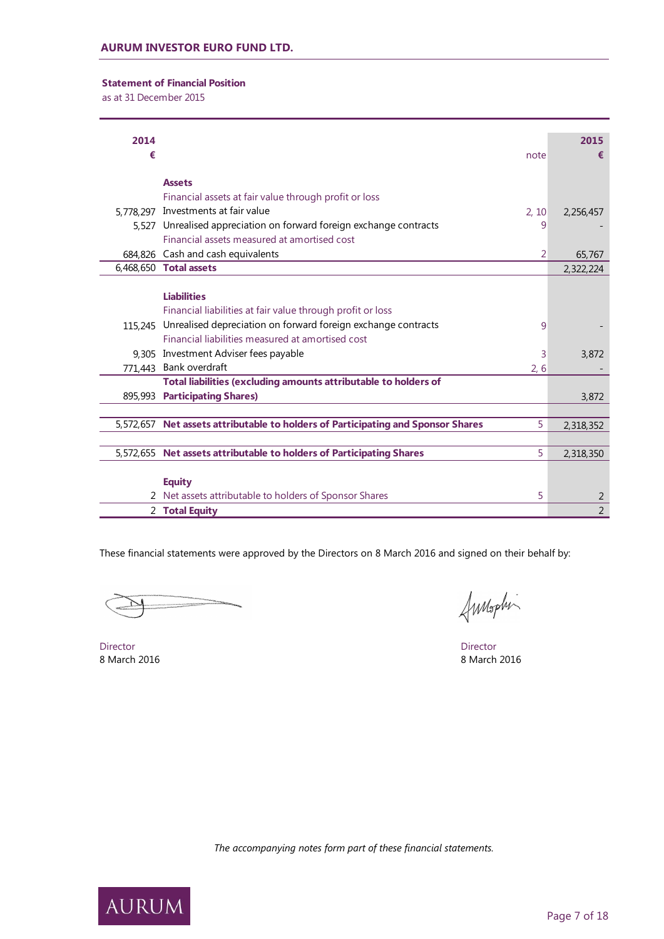# **Statement of Financial Position**

as at 31 December 2015

| 2014 |                                                                                       | 2015        |                |
|------|---------------------------------------------------------------------------------------|-------------|----------------|
| €    | note                                                                                  |             | €              |
|      | <b>Assets</b>                                                                         |             |                |
|      |                                                                                       |             |                |
|      | Financial assets at fair value through profit or loss                                 |             |                |
|      | 5,778,297 Investments at fair value<br>2.10                                           | 2,256,457   |                |
|      | 5,527 Unrealised appreciation on forward foreign exchange contracts                   | 9           |                |
|      | Financial assets measured at amortised cost                                           |             |                |
|      | 684,826 Cash and cash equivalents                                                     | 2<br>65,767 |                |
|      | 6,468,650 Total assets                                                                | 2,322,224   |                |
|      |                                                                                       |             |                |
|      | <b>Liabilities</b>                                                                    |             |                |
|      | Financial liabilities at fair value through profit or loss                            |             |                |
|      | 115,245 Unrealised depreciation on forward foreign exchange contracts                 | 9           |                |
|      | Financial liabilities measured at amortised cost                                      |             |                |
|      | 9,305 Investment Adviser fees payable                                                 | 3,872<br>3  |                |
|      | 771,443 Bank overdraft<br>2, 6                                                        |             |                |
|      | Total liabilities (excluding amounts attributable to holders of                       |             |                |
|      | 895,993 Participating Shares)                                                         | 3,872       |                |
|      |                                                                                       |             |                |
|      | 5,572,657 Net assets attributable to holders of Participating and Sponsor Shares<br>5 | 2,318,352   |                |
|      |                                                                                       |             |                |
|      | 5,572,655 Net assets attributable to holders of Participating Shares<br>5             | 2,318,350   |                |
|      |                                                                                       |             |                |
|      | <b>Equity</b>                                                                         |             |                |
|      | 2 Net assets attributable to holders of Sponsor Shares<br>5                           |             | 2              |
|      | 2 Total Equity                                                                        |             | $\overline{2}$ |

These financial statements were approved by the Directors on 8 March 2016 and signed on their behalf by:

Annophi

Director Director 8 March 2016 8 March 2016



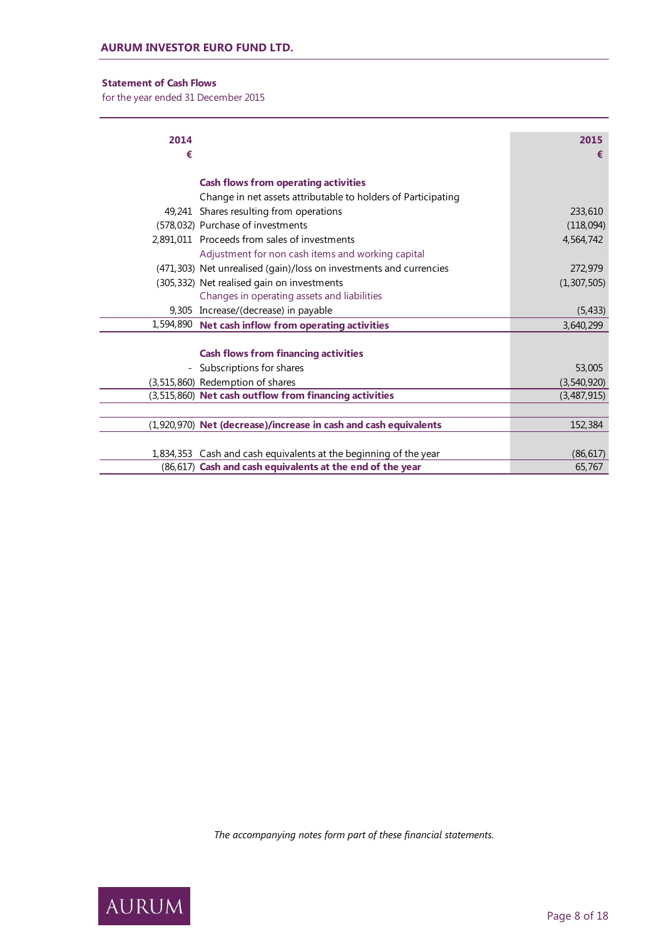# **Statement of Cash Flows**

for the year ended 31 December 2015

| 2014                     |                                                                    | 2015          |
|--------------------------|--------------------------------------------------------------------|---------------|
| €                        |                                                                    | €             |
|                          | <b>Cash flows from operating activities</b>                        |               |
|                          | Change in net assets attributable to holders of Participating      |               |
|                          | 49,241 Shares resulting from operations                            | 233,610       |
|                          | (578,032) Purchase of investments                                  | (118,094)     |
|                          | 2.891.011 Proceeds from sales of investments                       | 4,564,742     |
|                          | Adjustment for non cash items and working capital                  |               |
|                          | (471,303) Net unrealised (gain)/loss on investments and currencies | 272,979       |
|                          | (305,332) Net realised gain on investments                         | (1, 307, 505) |
|                          | Changes in operating assets and liabilities                        |               |
|                          | 9,305 Increase/(decrease) in payable                               | (5, 433)      |
|                          | 1,594,890 Net cash inflow from operating activities                | 3,640,299     |
|                          |                                                                    |               |
|                          | <b>Cash flows from financing activities</b>                        |               |
| $\overline{\phantom{0}}$ | Subscriptions for shares                                           | 53,005        |
|                          | (3,515,860) Redemption of shares                                   | (3, 540, 920) |
|                          | (3,515,860) Net cash outflow from financing activities             | (3,487,915)   |
|                          |                                                                    |               |
|                          | (1,920,970) Net (decrease)/increase in cash and cash equivalents   | 152,384       |
|                          |                                                                    |               |
|                          | 1,834,353 Cash and cash equivalents at the beginning of the year   | (86, 617)     |
|                          | (86,617) Cash and cash equivalents at the end of the year          | 65,767        |

*The accompanying notes form part of these financial statements.*

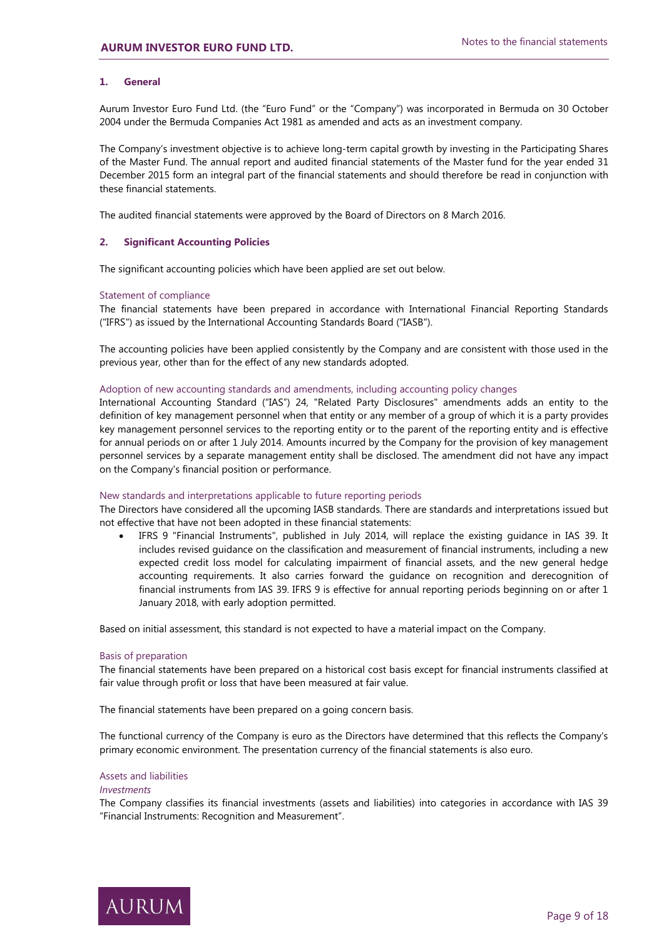## **1. General**

Aurum Investor Euro Fund Ltd. (the "Euro Fund" or the "Company") was incorporated in Bermuda on 30 October 2004 under the Bermuda Companies Act 1981 as amended and acts as an investment company.

The Company's investment objective is to achieve long-term capital growth by investing in the Participating Shares of the Master Fund. The annual report and audited financial statements of the Master fund for the year ended 31 December 2015 form an integral part of the financial statements and should therefore be read in conjunction with these financial statements.

The audited financial statements were approved by the Board of Directors on 8 March 2016.

#### **2. Significant Accounting Policies**

The significant accounting policies which have been applied are set out below.

#### Statement of compliance

The financial statements have been prepared in accordance with International Financial Reporting Standards ("IFRS") as issued by the International Accounting Standards Board ("IASB").

The accounting policies have been applied consistently by the Company and are consistent with those used in the previous year, other than for the effect of any new standards adopted.

#### Adoption of new accounting standards and amendments, including accounting policy changes

International Accounting Standard ("IAS") 24, "Related Party Disclosures" amendments adds an entity to the definition of key management personnel when that entity or any member of a group of which it is a party provides key management personnel services to the reporting entity or to the parent of the reporting entity and is effective for annual periods on or after 1 July 2014. Amounts incurred by the Company for the provision of key management personnel services by a separate management entity shall be disclosed. The amendment did not have any impact on the Company's financial position or performance.

#### New standards and interpretations applicable to future reporting periods

The Directors have considered all the upcoming IASB standards. There are standards and interpretations issued but not effective that have not been adopted in these financial statements:

 IFRS 9 "Financial Instruments", published in July 2014, will replace the existing guidance in IAS 39. It includes revised guidance on the classification and measurement of financial instruments, including a new expected credit loss model for calculating impairment of financial assets, and the new general hedge accounting requirements. It also carries forward the guidance on recognition and derecognition of financial instruments from IAS 39. IFRS 9 is effective for annual reporting periods beginning on or after 1 January 2018, with early adoption permitted.

Based on initial assessment, this standard is not expected to have a material impact on the Company.

#### Basis of preparation

The financial statements have been prepared on a historical cost basis except for financial instruments classified at fair value through profit or loss that have been measured at fair value.

The financial statements have been prepared on a going concern basis.

The functional currency of the Company is euro as the Directors have determined that this reflects the Company's primary economic environment. The presentation currency of the financial statements is also euro.

#### Assets and liabilities

#### *Investments*

The Company classifies its financial investments (assets and liabilities) into categories in accordance with IAS 39 "Financial Instruments: Recognition and Measurement".

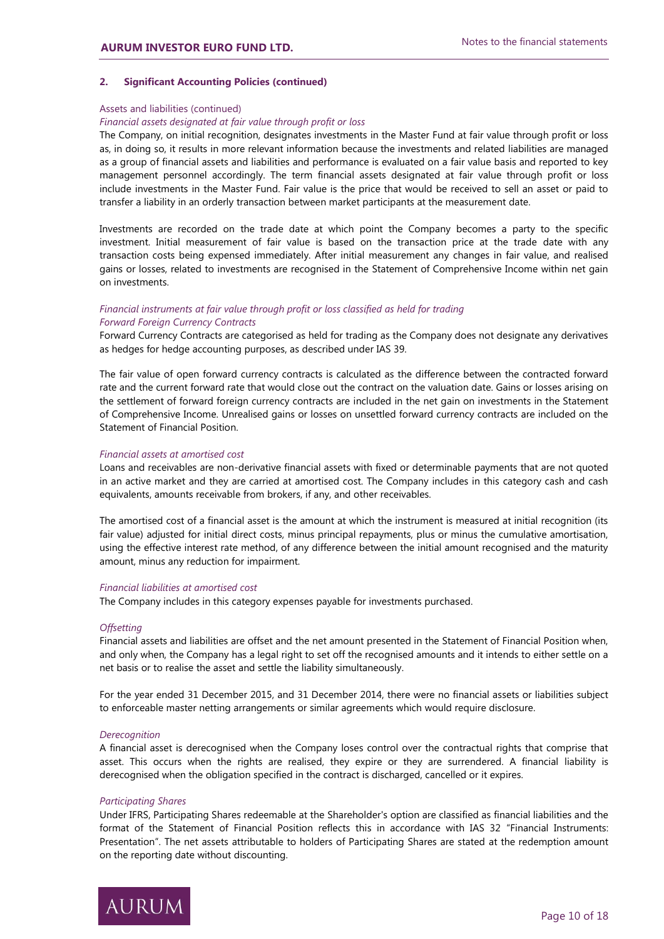## **2. Significant Accounting Policies (continued)**

#### Assets and liabilities (continued)

### *Financial assets designated at fair value through profit or loss*

The Company, on initial recognition, designates investments in the Master Fund at fair value through profit or loss as, in doing so, it results in more relevant information because the investments and related liabilities are managed as a group of financial assets and liabilities and performance is evaluated on a fair value basis and reported to key management personnel accordingly. The term financial assets designated at fair value through profit or loss include investments in the Master Fund. Fair value is the price that would be received to sell an asset or paid to transfer a liability in an orderly transaction between market participants at the measurement date.

Investments are recorded on the trade date at which point the Company becomes a party to the specific investment. Initial measurement of fair value is based on the transaction price at the trade date with any transaction costs being expensed immediately. After initial measurement any changes in fair value, and realised gains or losses, related to investments are recognised in the Statement of Comprehensive Income within net gain on investments.

# *Financial instruments at fair value through profit or loss classified as held for trading Forward Foreign Currency Contracts*

Forward Currency Contracts are categorised as held for trading as the Company does not designate any derivatives as hedges for hedge accounting purposes, as described under IAS 39.

The fair value of open forward currency contracts is calculated as the difference between the contracted forward rate and the current forward rate that would close out the contract on the valuation date. Gains or losses arising on the settlement of forward foreign currency contracts are included in the net gain on investments in the Statement of Comprehensive Income. Unrealised gains or losses on unsettled forward currency contracts are included on the Statement of Financial Position.

#### *Financial assets at amortised cost*

Loans and receivables are non-derivative financial assets with fixed or determinable payments that are not quoted in an active market and they are carried at amortised cost. The Company includes in this category cash and cash equivalents, amounts receivable from brokers, if any, and other receivables.

The amortised cost of a financial asset is the amount at which the instrument is measured at initial recognition (its fair value) adjusted for initial direct costs, minus principal repayments, plus or minus the cumulative amortisation, using the effective interest rate method, of any difference between the initial amount recognised and the maturity amount, minus any reduction for impairment.

#### *Financial liabilities at amortised cost*

The Company includes in this category expenses payable for investments purchased.

#### *Offsetting*

Financial assets and liabilities are offset and the net amount presented in the Statement of Financial Position when, and only when, the Company has a legal right to set off the recognised amounts and it intends to either settle on a net basis or to realise the asset and settle the liability simultaneously.

For the year ended 31 December 2015, and 31 December 2014, there were no financial assets or liabilities subject to enforceable master netting arrangements or similar agreements which would require disclosure.

#### *Derecognition*

A financial asset is derecognised when the Company loses control over the contractual rights that comprise that asset. This occurs when the rights are realised, they expire or they are surrendered. A financial liability is derecognised when the obligation specified in the contract is discharged, cancelled or it expires.

#### *Participating Shares*

Under IFRS, Participating Shares redeemable at the Shareholder's option are classified as financial liabilities and the format of the Statement of Financial Position reflects this in accordance with IAS 32 "Financial Instruments: Presentation". The net assets attributable to holders of Participating Shares are stated at the redemption amount on the reporting date without discounting.

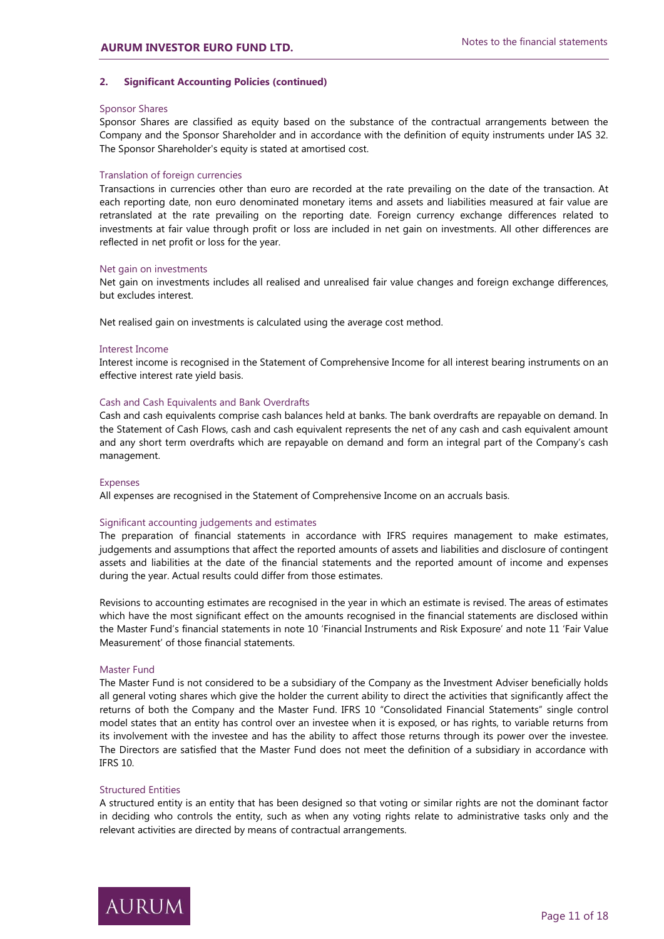## **2. Significant Accounting Policies (continued)**

#### Sponsor Shares

Sponsor Shares are classified as equity based on the substance of the contractual arrangements between the Company and the Sponsor Shareholder and in accordance with the definition of equity instruments under IAS 32. The Sponsor Shareholder's equity is stated at amortised cost.

#### Translation of foreign currencies

Transactions in currencies other than euro are recorded at the rate prevailing on the date of the transaction. At each reporting date, non euro denominated monetary items and assets and liabilities measured at fair value are retranslated at the rate prevailing on the reporting date. Foreign currency exchange differences related to investments at fair value through profit or loss are included in net gain on investments. All other differences are reflected in net profit or loss for the year.

#### Net gain on investments

Net gain on investments includes all realised and unrealised fair value changes and foreign exchange differences, but excludes interest.

Net realised gain on investments is calculated using the average cost method.

#### Interest Income

Interest income is recognised in the Statement of Comprehensive Income for all interest bearing instruments on an effective interest rate yield basis.

#### Cash and Cash Equivalents and Bank Overdrafts

Cash and cash equivalents comprise cash balances held at banks. The bank overdrafts are repayable on demand. In the Statement of Cash Flows, cash and cash equivalent represents the net of any cash and cash equivalent amount and any short term overdrafts which are repayable on demand and form an integral part of the Company's cash management.

#### Expenses

All expenses are recognised in the Statement of Comprehensive Income on an accruals basis.

# Significant accounting judgements and estimates

The preparation of financial statements in accordance with IFRS requires management to make estimates, judgements and assumptions that affect the reported amounts of assets and liabilities and disclosure of contingent assets and liabilities at the date of the financial statements and the reported amount of income and expenses during the year. Actual results could differ from those estimates.

Revisions to accounting estimates are recognised in the year in which an estimate is revised. The areas of estimates which have the most significant effect on the amounts recognised in the financial statements are disclosed within the Master Fund's financial statements in note 10 'Financial Instruments and Risk Exposure' and note 11 'Fair Value Measurement' of those financial statements.

#### Master Fund

The Master Fund is not considered to be a subsidiary of the Company as the Investment Adviser beneficially holds all general voting shares which give the holder the current ability to direct the activities that significantly affect the returns of both the Company and the Master Fund. IFRS 10 "Consolidated Financial Statements" single control model states that an entity has control over an investee when it is exposed, or has rights, to variable returns from its involvement with the investee and has the ability to affect those returns through its power over the investee. The Directors are satisfied that the Master Fund does not meet the definition of a subsidiary in accordance with IFRS 10.

#### Structured Entities

A structured entity is an entity that has been designed so that voting or similar rights are not the dominant factor in deciding who controls the entity, such as when any voting rights relate to administrative tasks only and the relevant activities are directed by means of contractual arrangements.

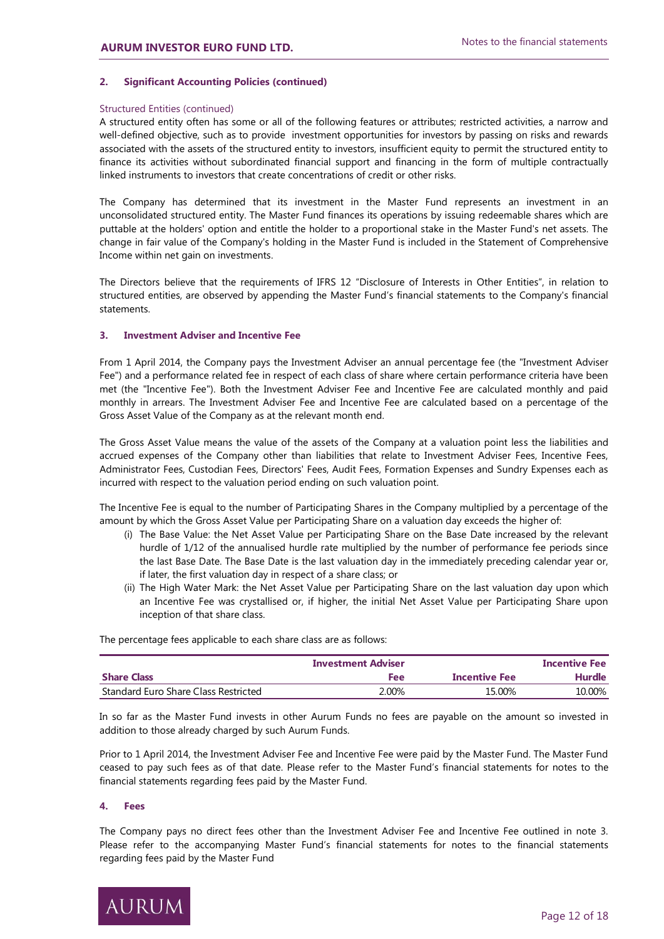# **2. Significant Accounting Policies (continued)**

# Structured Entities (continued)

A structured entity often has some or all of the following features or attributes; restricted activities, a narrow and well-defined objective, such as to provide investment opportunities for investors by passing on risks and rewards associated with the assets of the structured entity to investors, insufficient equity to permit the structured entity to finance its activities without subordinated financial support and financing in the form of multiple contractually linked instruments to investors that create concentrations of credit or other risks.

The Company has determined that its investment in the Master Fund represents an investment in an unconsolidated structured entity. The Master Fund finances its operations by issuing redeemable shares which are puttable at the holders' option and entitle the holder to a proportional stake in the Master Fund's net assets. The change in fair value of the Company's holding in the Master Fund is included in the Statement of Comprehensive Income within net gain on investments.

The Directors believe that the requirements of IFRS 12 "Disclosure of Interests in Other Entities", in relation to structured entities, are observed by appending the Master Fund's financial statements to the Company's financial statements.

# **3. Investment Adviser and Incentive Fee**

From 1 April 2014, the Company pays the Investment Adviser an annual percentage fee (the "Investment Adviser Fee") and a performance related fee in respect of each class of share where certain performance criteria have been met (the "Incentive Fee"). Both the Investment Adviser Fee and Incentive Fee are calculated monthly and paid monthly in arrears. The Investment Adviser Fee and Incentive Fee are calculated based on a percentage of the Gross Asset Value of the Company as at the relevant month end.

The Gross Asset Value means the value of the assets of the Company at a valuation point less the liabilities and accrued expenses of the Company other than liabilities that relate to Investment Adviser Fees, Incentive Fees, Administrator Fees, Custodian Fees, Directors' Fees, Audit Fees, Formation Expenses and Sundry Expenses each as incurred with respect to the valuation period ending on such valuation point.

The Incentive Fee is equal to the number of Participating Shares in the Company multiplied by a percentage of the amount by which the Gross Asset Value per Participating Share on a valuation day exceeds the higher of:

- (i) The Base Value: the Net Asset Value per Participating Share on the Base Date increased by the relevant hurdle of 1/12 of the annualised hurdle rate multiplied by the number of performance fee periods since the last Base Date. The Base Date is the last valuation day in the immediately preceding calendar year or, if later, the first valuation day in respect of a share class; or
- (ii) The High Water Mark: the Net Asset Value per Participating Share on the last valuation day upon which an Incentive Fee was crystallised or, if higher, the initial Net Asset Value per Participating Share upon inception of that share class.

The percentage fees applicable to each share class are as follows:

|                                      | <b>Investment Adviser</b> |                      | <b>Incentive Fee</b> |
|--------------------------------------|---------------------------|----------------------|----------------------|
| <b>Share Class</b>                   | Fee                       | <b>Incentive Fee</b> | Hurdle               |
| Standard Euro Share Class Restricted | 2.00%                     | 15.00%               | 10.00%               |

In so far as the Master Fund invests in other Aurum Funds no fees are payable on the amount so invested in addition to those already charged by such Aurum Funds.

Prior to 1 April 2014, the Investment Adviser Fee and Incentive Fee were paid by the Master Fund. The Master Fund ceased to pay such fees as of that date. Please refer to the Master Fund's financial statements for notes to the financial statements regarding fees paid by the Master Fund.

# **4. Fees**

The Company pays no direct fees other than the Investment Adviser Fee and Incentive Fee outlined in note 3. Please refer to the accompanying Master Fund's financial statements for notes to the financial statements regarding fees paid by the Master Fund

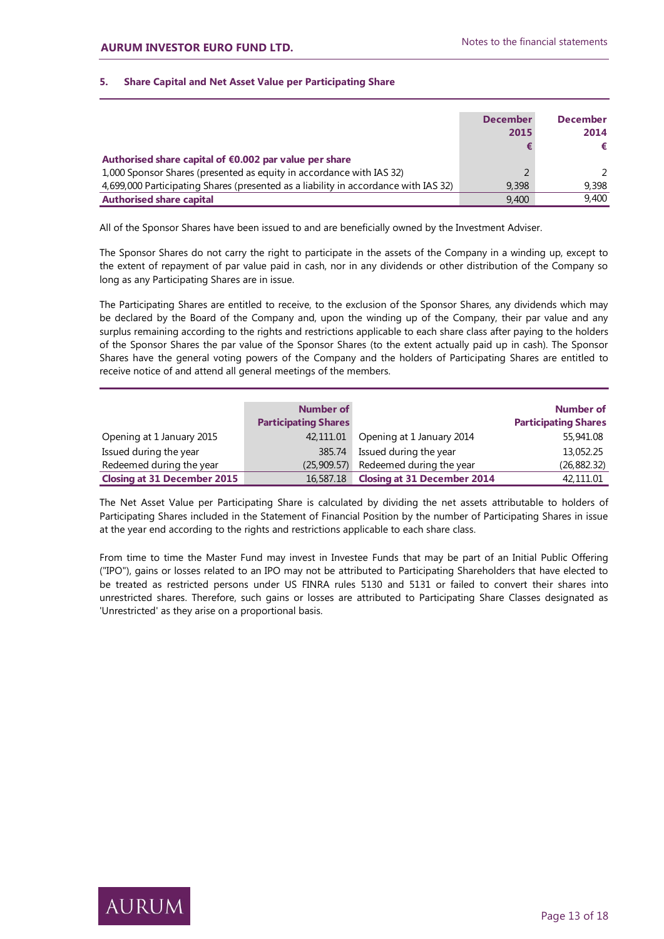# **5. Share Capital and Net Asset Value per Participating Share**

|                                                                                     | <b>December</b> | <b>December</b> |
|-------------------------------------------------------------------------------------|-----------------|-----------------|
|                                                                                     | 2015            | 2014            |
|                                                                                     |                 | €               |
| Authorised share capital of €0.002 par value per share                              |                 |                 |
| 1,000 Sponsor Shares (presented as equity in accordance with IAS 32)                |                 | $\mathcal{L}$   |
| 4,699,000 Participating Shares (presented as a liability in accordance with IAS 32) | 9,398           | 9.398           |
| <b>Authorised share capital</b>                                                     | 9,400           | 9.400           |

All of the Sponsor Shares have been issued to and are beneficially owned by the Investment Adviser.

The Sponsor Shares do not carry the right to participate in the assets of the Company in a winding up, except to the extent of repayment of par value paid in cash, nor in any dividends or other distribution of the Company so long as any Participating Shares are in issue.

The Participating Shares are entitled to receive, to the exclusion of the Sponsor Shares, any dividends which may be declared by the Board of the Company and, upon the winding up of the Company, their par value and any surplus remaining according to the rights and restrictions applicable to each share class after paying to the holders of the Sponsor Shares the par value of the Sponsor Shares (to the extent actually paid up in cash). The Sponsor Shares have the general voting powers of the Company and the holders of Participating Shares are entitled to receive notice of and attend all general meetings of the members.

|                                    | <b>Number of</b><br><b>Participating Shares</b> |                                      | Number of<br><b>Participating Shares</b> |
|------------------------------------|-------------------------------------------------|--------------------------------------|------------------------------------------|
| Opening at 1 January 2015          | 42,111.01                                       | Opening at 1 January 2014            | 55,941.08                                |
| Issued during the year             | 385.74                                          | Issued during the year               | 13,052.25                                |
| Redeemed during the year           |                                                 | (25,909.57) Redeemed during the year | (26, 882.32)                             |
| <b>Closing at 31 December 2015</b> | 16,587.18                                       | <b>Closing at 31 December 2014</b>   | 42,111.01                                |

The Net Asset Value per Participating Share is calculated by dividing the net assets attributable to holders of Participating Shares included in the Statement of Financial Position by the number of Participating Shares in issue at the year end according to the rights and restrictions applicable to each share class.

From time to time the Master Fund may invest in Investee Funds that may be part of an Initial Public Offering ("IPO"), gains or losses related to an IPO may not be attributed to Participating Shareholders that have elected to be treated as restricted persons under US FINRA rules 5130 and 5131 or failed to convert their shares into unrestricted shares. Therefore, such gains or losses are attributed to Participating Share Classes designated as 'Unrestricted' as they arise on a proportional basis.

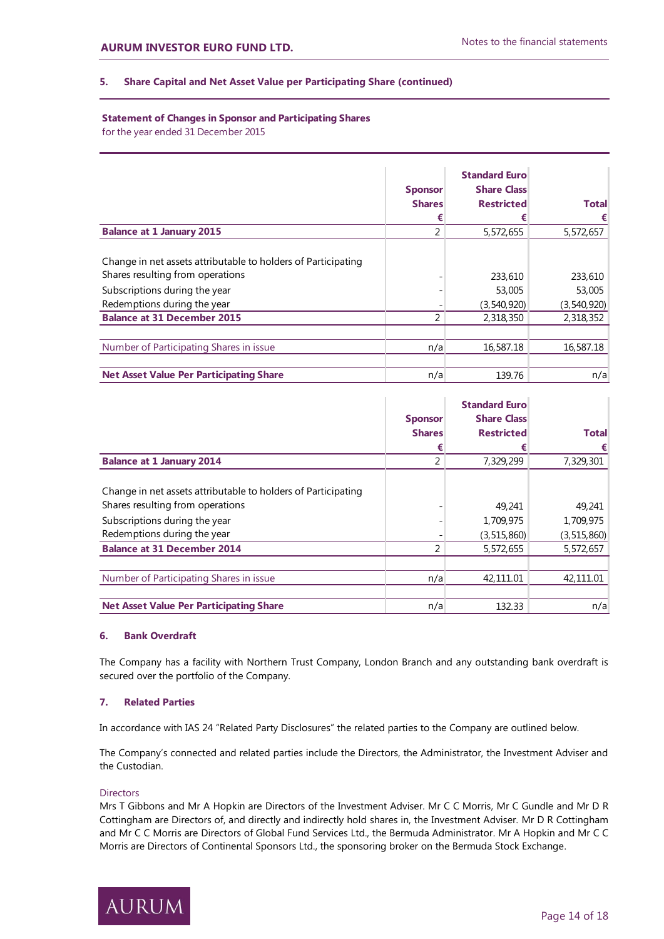# **5. Share Capital and Net Asset Value per Participating Share (continued)**

# **Statement of Changes in Sponsor and Participating Shares**

for the year ended 31 December 2015

|                                                                                                                                                                                                         | <b>Sponsor</b><br><b>Shares</b><br>€ | <b>Standard Euro</b><br><b>Share Class</b><br><b>Restricted</b><br>€ | <b>Total</b><br>€                             |
|---------------------------------------------------------------------------------------------------------------------------------------------------------------------------------------------------------|--------------------------------------|----------------------------------------------------------------------|-----------------------------------------------|
| <b>Balance at 1 January 2015</b>                                                                                                                                                                        | 2                                    | 5,572,655                                                            | 5,572,657                                     |
| Change in net assets attributable to holders of Participating<br>Shares resulting from operations<br>Subscriptions during the year<br>Redemptions during the year<br><b>Balance at 31 December 2015</b> |                                      | 233,610<br>53,005<br>(3,540,920)<br>2,318,350                        | 233,610<br>53,005<br>(3,540,920)<br>2,318,352 |
|                                                                                                                                                                                                         |                                      |                                                                      |                                               |
| Number of Participating Shares in issue                                                                                                                                                                 | n/a                                  | 16,587.18                                                            | 16,587.18                                     |
| <b>Net Asset Value Per Participating Share</b>                                                                                                                                                          | n/a                                  | 139.76                                                               | n/a                                           |

|                                                               |                | <b>Standard Euro</b> |               |
|---------------------------------------------------------------|----------------|----------------------|---------------|
|                                                               | <b>Sponsor</b> | <b>Share Class</b>   |               |
|                                                               | <b>Shares</b>  | <b>Restricted</b>    | <b>Total</b>  |
|                                                               | €              |                      |               |
| <b>Balance at 1 January 2014</b>                              | 2              | 7,329,299            | 7,329,301     |
|                                                               |                |                      |               |
| Change in net assets attributable to holders of Participating |                |                      |               |
| Shares resulting from operations                              |                | 49.241               | 49.241        |
| Subscriptions during the year                                 |                | 1,709,975            | 1,709,975     |
| Redemptions during the year                                   |                | (3,515,860)          | (3, 515, 860) |
| <b>Balance at 31 December 2014</b>                            | 2              | 5,572,655            | 5,572,657     |
|                                                               |                |                      |               |
| Number of Participating Shares in issue                       | n/a            | 42,111.01            | 42,111.01     |
|                                                               |                |                      |               |
| <b>Net Asset Value Per Participating Share</b>                | n/a            | 132.33               | n/a           |

# **6. Bank Overdraft**

The Company has a facility with Northern Trust Company, London Branch and any outstanding bank overdraft is secured over the portfolio of the Company.

# **7. Related Parties**

In accordance with IAS 24 "Related Party Disclosures" the related parties to the Company are outlined below.

The Company's connected and related parties include the Directors, the Administrator, the Investment Adviser and the Custodian.

# **Directors**

Mrs T Gibbons and Mr A Hopkin are Directors of the Investment Adviser. Mr C C Morris, Mr C Gundle and Mr D R Cottingham are Directors of, and directly and indirectly hold shares in, the Investment Adviser. Mr D R Cottingham and Mr C C Morris are Directors of Global Fund Services Ltd., the Bermuda Administrator. Mr A Hopkin and Mr C C Morris are Directors of Continental Sponsors Ltd., the sponsoring broker on the Bermuda Stock Exchange.

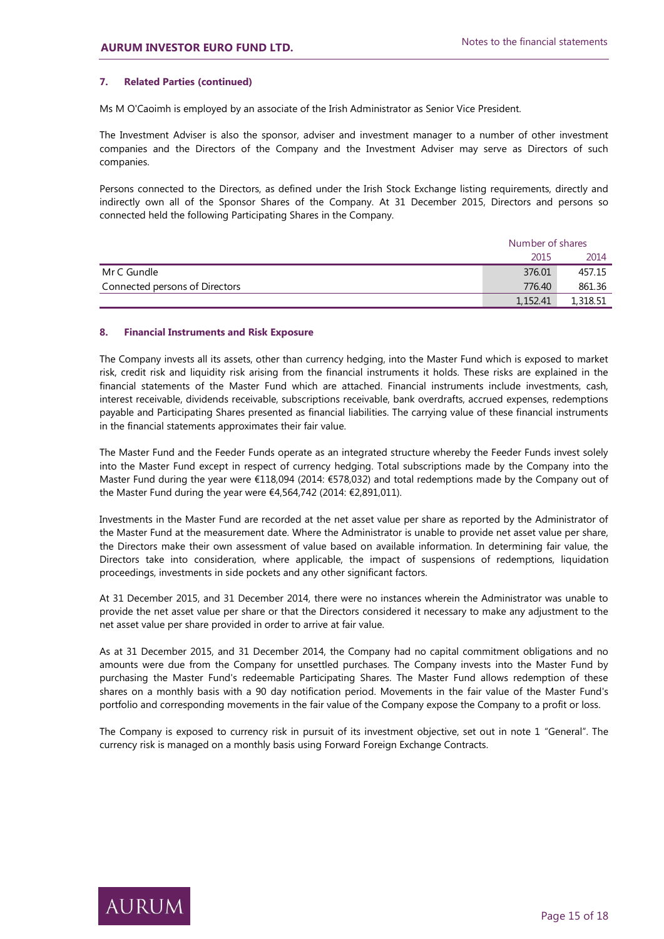# **7. Related Parties (continued)**

Ms M O'Caoimh is employed by an associate of the Irish Administrator as Senior Vice President.

The Investment Adviser is also the sponsor, adviser and investment manager to a number of other investment companies and the Directors of the Company and the Investment Adviser may serve as Directors of such companies.

Persons connected to the Directors, as defined under the Irish Stock Exchange listing requirements, directly and indirectly own all of the Sponsor Shares of the Company. At 31 December 2015, Directors and persons so connected held the following Participating Shares in the Company.

|                                | Number of shares |          |  |
|--------------------------------|------------------|----------|--|
|                                | 2015             | 2014     |  |
| Mr C Gundle                    | 376.01           | 457.15   |  |
| Connected persons of Directors | 776.40           | 861.36   |  |
|                                | 1,152.41         | 1,318.51 |  |

#### **8. Financial Instruments and Risk Exposure**

The Company invests all its assets, other than currency hedging, into the Master Fund which is exposed to market risk, credit risk and liquidity risk arising from the financial instruments it holds. These risks are explained in the financial statements of the Master Fund which are attached. Financial instruments include investments, cash, interest receivable, dividends receivable, subscriptions receivable, bank overdrafts, accrued expenses, redemptions payable and Participating Shares presented as financial liabilities. The carrying value of these financial instruments in the financial statements approximates their fair value.

The Master Fund and the Feeder Funds operate as an integrated structure whereby the Feeder Funds invest solely into the Master Fund except in respect of currency hedging. Total subscriptions made by the Company into the Master Fund during the year were €118,094 (2014: €578,032) and total redemptions made by the Company out of the Master Fund during the year were €4,564,742 (2014: €2,891,011).

Investments in the Master Fund are recorded at the net asset value per share as reported by the Administrator of the Master Fund at the measurement date. Where the Administrator is unable to provide net asset value per share, the Directors make their own assessment of value based on available information. In determining fair value, the Directors take into consideration, where applicable, the impact of suspensions of redemptions, liquidation proceedings, investments in side pockets and any other significant factors.

At 31 December 2015, and 31 December 2014, there were no instances wherein the Administrator was unable to provide the net asset value per share or that the Directors considered it necessary to make any adjustment to the net asset value per share provided in order to arrive at fair value.

As at 31 December 2015, and 31 December 2014, the Company had no capital commitment obligations and no amounts were due from the Company for unsettled purchases. The Company invests into the Master Fund by purchasing the Master Fund's redeemable Participating Shares. The Master Fund allows redemption of these shares on a monthly basis with a 90 day notification period. Movements in the fair value of the Master Fund's portfolio and corresponding movements in the fair value of the Company expose the Company to a profit or loss.

The Company is exposed to currency risk in pursuit of its investment objective, set out in note 1 "General". The currency risk is managed on a monthly basis using Forward Foreign Exchange Contracts.

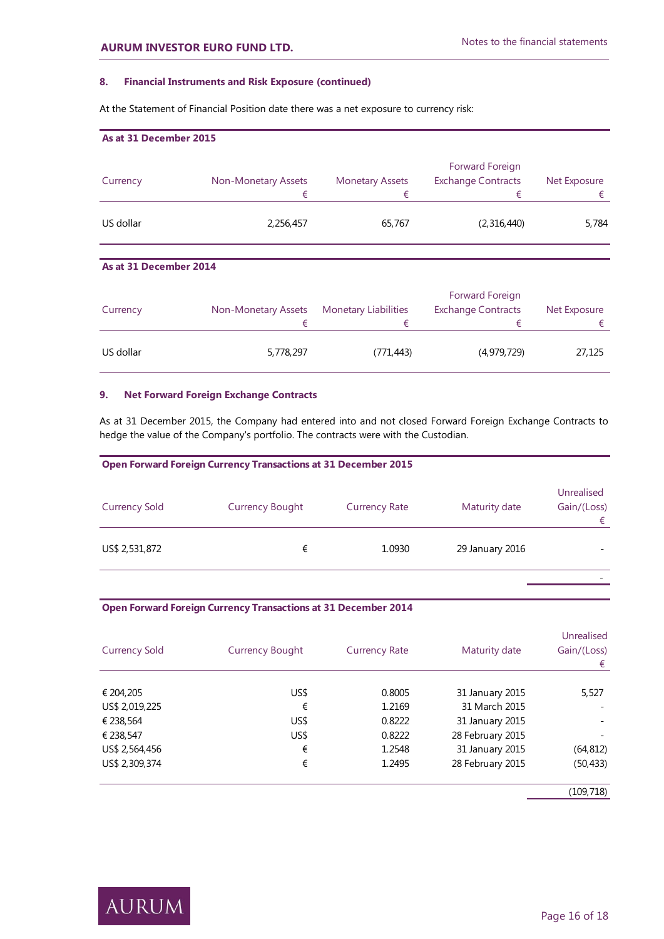# **8. Financial Instruments and Risk Exposure (continued)**

At the Statement of Financial Position date there was a net exposure to currency risk:

| As at 31 December 2015 |                          |                        |                                              |                   |
|------------------------|--------------------------|------------------------|----------------------------------------------|-------------------|
| Currency               | Non-Monetary Assets<br>€ | <b>Monetary Assets</b> | Forward Foreign<br><b>Exchange Contracts</b> | Net Exposure<br>€ |
| US dollar              | 2,256,457                | 65,767                 | (2,316,440)                                  | 5,784             |

# **As at 31 December 2014**

| Currency  | Non-Monetary Assets | <b>Monetary Liabilities</b> | Forward Foreign<br><b>Exchange Contracts</b> | Net Exposure |
|-----------|---------------------|-----------------------------|----------------------------------------------|--------------|
|           |                     | ŧ                           |                                              |              |
| US dollar | 5,778,297           | (771,443)                   | (4,979,729)                                  | 27,125       |

# **9. Net Forward Foreign Exchange Contracts**

As at 31 December 2015, the Company had entered into and not closed Forward Foreign Exchange Contracts to hedge the value of the Company's portfolio. The contracts were with the Custodian.

| <b>Open Forward Foreign Currency Transactions at 31 December 2015</b> |                        |                      |                 |                                |
|-----------------------------------------------------------------------|------------------------|----------------------|-----------------|--------------------------------|
| <b>Currency Sold</b>                                                  | <b>Currency Bought</b> | <b>Currency Rate</b> | Maturity date   | Unrealised<br>Gain/(Loss)<br>€ |
| US\$ 2,531,872                                                        | €                      | 1.0930               | 29 January 2016 |                                |
|                                                                       |                        |                      |                 |                                |

# **Open Forward Foreign Currency Transactions at 31 December 2014**

| <b>Currency Sold</b> | <b>Currency Bought</b> | <b>Currency Rate</b> | Maturity date    | Unrealised<br>Gain/(Loss)<br>€ |
|----------------------|------------------------|----------------------|------------------|--------------------------------|
| € 204,205            | US\$                   | 0.8005               | 31 January 2015  | 5,527                          |
| US\$ 2,019,225       | €                      | 1.2169               | 31 March 2015    |                                |
| € 238,564            | US\$                   | 0.8222               | 31 January 2015  |                                |
| € 238,547            | US\$                   | 0.8222               | 28 February 2015 |                                |
| US\$ 2,564,456       | €                      | 1.2548               | 31 January 2015  | (64,812)                       |
| US\$ 2,309,374       | €                      | 1.2495               | 28 February 2015 | (50, 433)                      |

(109,718)

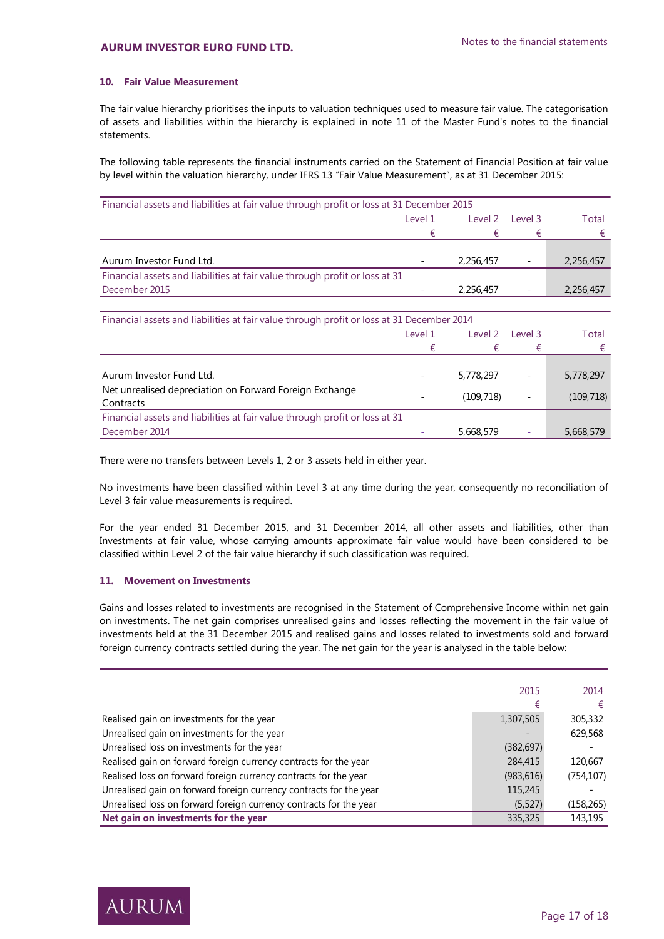# **10. Fair Value Measurement**

The fair value hierarchy prioritises the inputs to valuation techniques used to measure fair value. The categorisation of assets and liabilities within the hierarchy is explained in note 11 of the Master Fund's notes to the financial statements.

The following table represents the financial instruments carried on the Statement of Financial Position at fair value by level within the valuation hierarchy, under IFRS 13 "Fair Value Measurement", as at 31 December 2015:

| Financial assets and liabilities at fair value through profit or loss at 31 December 2015 |                          |           |         |           |
|-------------------------------------------------------------------------------------------|--------------------------|-----------|---------|-----------|
|                                                                                           | Level 1                  | Level 2   | level 3 | Total     |
|                                                                                           |                          |           |         |           |
|                                                                                           |                          |           |         |           |
| Aurum Investor Fund Ltd.                                                                  | $\overline{\phantom{0}}$ | 2,256,457 |         | 2,256,457 |
| Financial assets and liabilities at fair value through profit or loss at 31               |                          |           |         |           |
| December 2015                                                                             |                          | 2,256,457 |         | 2,256,457 |

| Financial assets and liabilities at fair value through profit or loss at 31 December 2014 |         |           |                          |            |
|-------------------------------------------------------------------------------------------|---------|-----------|--------------------------|------------|
|                                                                                           | Level 1 | Level 2   | Level 3                  | Total      |
|                                                                                           | €       |           | €                        |            |
|                                                                                           |         |           |                          |            |
| Aurum Investor Fund Ltd.                                                                  |         | 5,778,297 |                          | 5,778,297  |
| Net unrealised depreciation on Forward Foreign Exchange<br>Contracts                      |         | (109,718) | $\overline{\phantom{a}}$ | (109, 718) |
| Financial assets and liabilities at fair value through profit or loss at 31               |         |           |                          |            |
| December 2014                                                                             |         | 5,668,579 |                          | 5,668,579  |

There were no transfers between Levels 1, 2 or 3 assets held in either year.

No investments have been classified within Level 3 at any time during the year, consequently no reconciliation of Level 3 fair value measurements is required.

For the year ended 31 December 2015, and 31 December 2014, all other assets and liabilities, other than Investments at fair value, whose carrying amounts approximate fair value would have been considered to be classified within Level 2 of the fair value hierarchy if such classification was required.

# **11. Movement on Investments**

Gains and losses related to investments are recognised in the Statement of Comprehensive Income within net gain on investments. The net gain comprises unrealised gains and losses reflecting the movement in the fair value of investments held at the 31 December 2015 and realised gains and losses related to investments sold and forward foreign currency contracts settled during the year. The net gain for the year is analysed in the table below:

|                                                                    | 2015       | 2014       |
|--------------------------------------------------------------------|------------|------------|
|                                                                    | €          | €          |
| Realised gain on investments for the year                          | 1,307,505  | 305,332    |
| Unrealised gain on investments for the year                        |            | 629,568    |
| Unrealised loss on investments for the year                        | (382, 697) |            |
| Realised gain on forward foreign currency contracts for the year   | 284,415    | 120,667    |
| Realised loss on forward foreign currency contracts for the year   | (983, 616) | (754, 107) |
| Unrealised gain on forward foreign currency contracts for the year | 115,245    |            |
| Unrealised loss on forward foreign currency contracts for the year | (5,527)    | (158, 265) |
| Net gain on investments for the year                               | 335,325    | 143,195    |